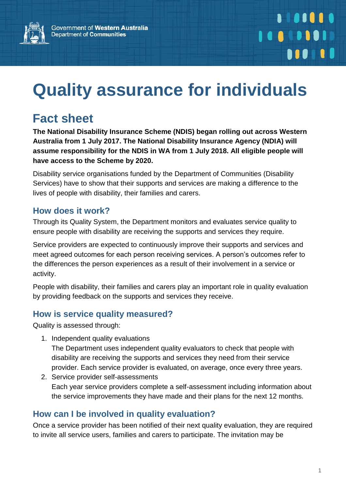

# **Quality assurance for individuals**

## **Fact sheet**

**The National Disability Insurance Scheme (NDIS) began rolling out across Western Australia from 1 July 2017. The National Disability Insurance Agency (NDIA) will assume responsibility for the NDIS in WA from 1 July 2018. All eligible people will have access to the Scheme by 2020.**

Disability service organisations funded by the Department of Communities (Disability Services) have to show that their supports and services are making a difference to the lives of people with disability, their families and carers.

#### **How does it work?**

Through its Quality System, the Department monitors and evaluates service quality to ensure people with disability are receiving the supports and services they require.

Service providers are expected to continuously improve their supports and services and meet agreed outcomes for each person receiving services. A person's outcomes refer to the differences the person experiences as a result of their involvement in a service or activity.

People with disability, their families and carers play an important role in quality evaluation by providing feedback on the supports and services they receive.

### **How is service quality measured?**

Quality is assessed through:

1. Independent quality evaluations

The Department uses independent quality evaluators to check that people with disability are receiving the supports and services they need from their service provider. Each service provider is evaluated, on average, once every three years.

2. Service provider self-assessments Each year service providers complete a self-assessment including information about the service improvements they have made and their plans for the next 12 months.

### **How can I be involved in quality evaluation?**

Once a service provider has been notified of their next quality evaluation, they are required to invite all service users, families and carers to participate. The invitation may be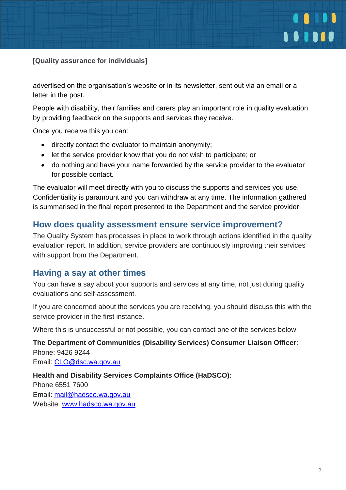

**[Quality assurance for individuals]**

advertised on the organisation's website or in its newsletter, sent out via an email or a letter in the post.

People with disability, their families and carers play an important role in quality evaluation by providing feedback on the supports and services they receive.

Once you receive this you can:

- directly contact the evaluator to maintain anonymity;
- let the service provider know that you do not wish to participate; or
- do nothing and have your name forwarded by the service provider to the evaluator for possible contact.

The evaluator will meet directly with you to discuss the supports and services you use. Confidentiality is paramount and you can withdraw at any time. The information gathered is summarised in the final report presented to the Department and the service provider.

#### **How does quality assessment ensure service improvement?**

The Quality System has processes in place to work through actions identified in the quality evaluation report. In addition, service providers are continuously improving their services with support from the Department.

#### **Having a say at other times**

You can have a say about your supports and services at any time, not just during quality evaluations and self-assessment.

If you are concerned about the services you are receiving, you should discuss this with the service provider in the first instance.

Where this is unsuccessful or not possible, you can contact one of the services below:

**The Department of Communities (Disability Services) Consumer Liaison Officer**: Phone: 9426 9244

Email: [CLO@dsc.wa.gov.au](mailto:CLO@dsc.wa.gov.au)

#### **Health and Disability Services Complaints Office (HaDSCO)**:

Phone 6551 7600 Email: [mail@hadsco.wa.gov.au](mailto:mail@hadsco.wa.gov.au) Website: [www.hadsco.wa.gov.au](http://www.hadsco.wa.gov.au/)